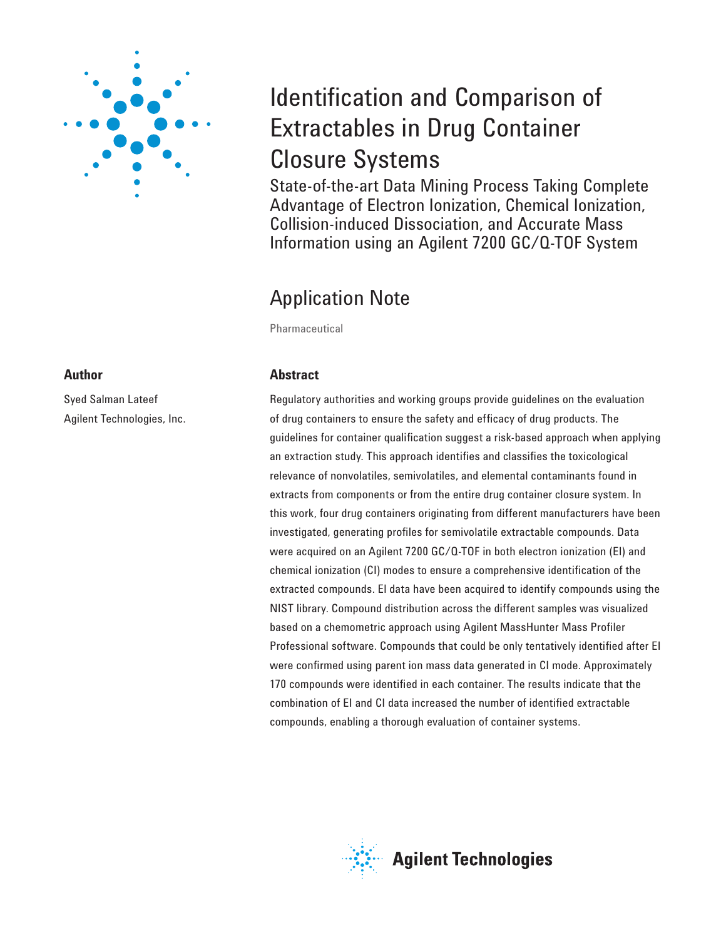

## **Author**

Syed Salman Lateef Agilent Technologies, Inc.

# Identification and Comparison of Extractables in Drug Container Closure Systems

State-of-the-art Data Mining Process Taking Complete Advantage of Electron Ionization, Chemical Ionization, Collision-induced Dissociation, and Accurate Mass Information using an Agilent 7200 GC/Q-TOF System

## Application Note

Pharmaceutical

## **Abstract**

Regulatory authorities and working groups provide guidelines on the evaluation of drug containers to ensure the safety and efficacy of drug products. The guidelines for container qualification suggest a risk-based approach when applying an extraction study. This approach identifies and classifies the toxicological relevance of nonvolatiles, semivolatiles, and elemental contaminants found in extracts from components or from the entire drug container closure system. In this work, four drug containers originating from different manufacturers have been investigated, generating profiles for semivolatile extractable compounds. Data were acquired on an Agilent 7200 GC/Q-TOF in both electron ionization (EI) and chemical ionization (CI) modes to ensure a comprehensive identification of the extracted compounds. El data have been acquired to identify compounds using the NIST library. Compound distribution across the different samples was visualized based on a chemometric approach using Agilent MassHunter Mass Profiler Professional software. Compounds that could be only tentatively identified after EI were confirmed using parent ion mass data generated in CI mode. Approximately 170 compounds were identified in each container. The results indicate that the combination of EI and CI data increased the number of identified extractable compounds, enabling a thorough evaluation of container systems.

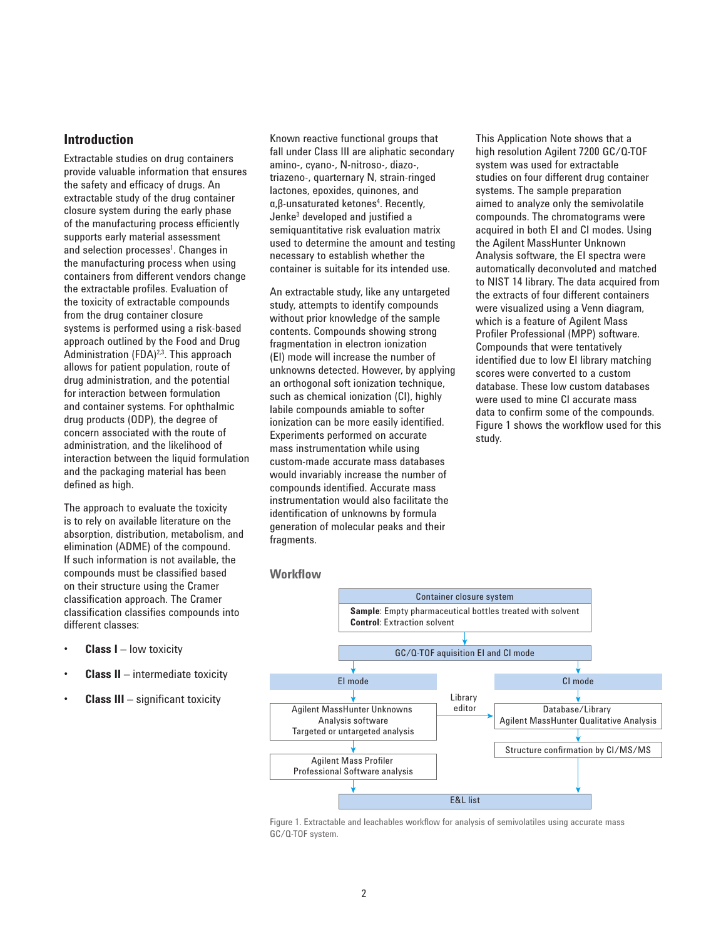## **Introduction**

Extractable studies on drug containers provide valuable information that ensures the safety and efficacy of drugs. An extractable study of the drug container closure system during the early phase of the manufacturing process efficiently supports early material assessment and selection processes<sup>1</sup>. Changes in the manufacturing process when using containers from different vendors change the extractable profiles. Evaluation of the toxicity of extractable compounds from the drug container closure systems is performed using a risk-based approach outlined by the Food and Drug Administration (FDA) $2,3$ . This approach allows for patient population, route of drug administration, and the potential for interaction between formulation and container systems. For ophthalmic drug products (ODP), the degree of concern associated with the route of administration, and the likelihood of interaction between the liquid formulation and the packaging material has been defined as high.

The approach to evaluate the toxicity is to rely on available literature on the absorption, distribution, metabolism, and elimination (ADME) of the compound. If such information is not available, the compounds must be classified based on their structure using the Cramer classification approach. The Cramer classification classifies compounds into different classes:

- **Class I** low toxicity
- **Class II** intermediate toxicity
- **Class III** significant toxicity

Known reactive functional groups that fall under Class III are aliphatic secondary amino-, cyano-, N-nitroso-, diazo-, triazeno-, quarternary N, strain-ringed lactones, epoxides, quinones, and α, β-unsaturated ketones<sup>4</sup>. Recently, Jenke<sup>3</sup> developed and justified a semiquantitative risk evaluation matrix used to determine the amount and testing necessary to establish whether the container is suitable for its intended use.

An extractable study, like any untargeted study, attempts to identify compounds without prior knowledge of the sample contents. Compounds showing strong fragmentation in electron ionization (EI) mode will increase the number of unknowns detected. However, by applying an orthogonal soft ionization technique, such as chemical ionization (CI), highly labile compounds amiable to softer ionization can be more easily identified. Experiments performed on accurate mass instrumentation while using custom-made accurate mass databases would invariably increase the number of compounds identified. Accurate mass instrumentation would also facilitate the identification of unknowns by formula generation of molecular peaks and their fragments.

This Application Note shows that a high resolution Agilent 7200 GC/Q-TOF system was used for extractable studies on four different drug container systems. The sample preparation aimed to analyze only the semivolatile compounds. The chromatograms were acquired in both EI and CI modes. Using the Agilent MassHunter Unknown Analysis software, the EI spectra were automatically deconvoluted and matched to NIST 14 library. The data acquired from the extracts of four different containers were visualized using a Venn diagram, which is a feature of Agilent Mass Profiler Professional (MPP) software. Compounds that were tentatively identified due to low EI library matching scores were converted to a custom database. These low custom databases were used to mine CI accurate mass data to confirm some of the compounds. Figure 1 shows the workflow used for this study.





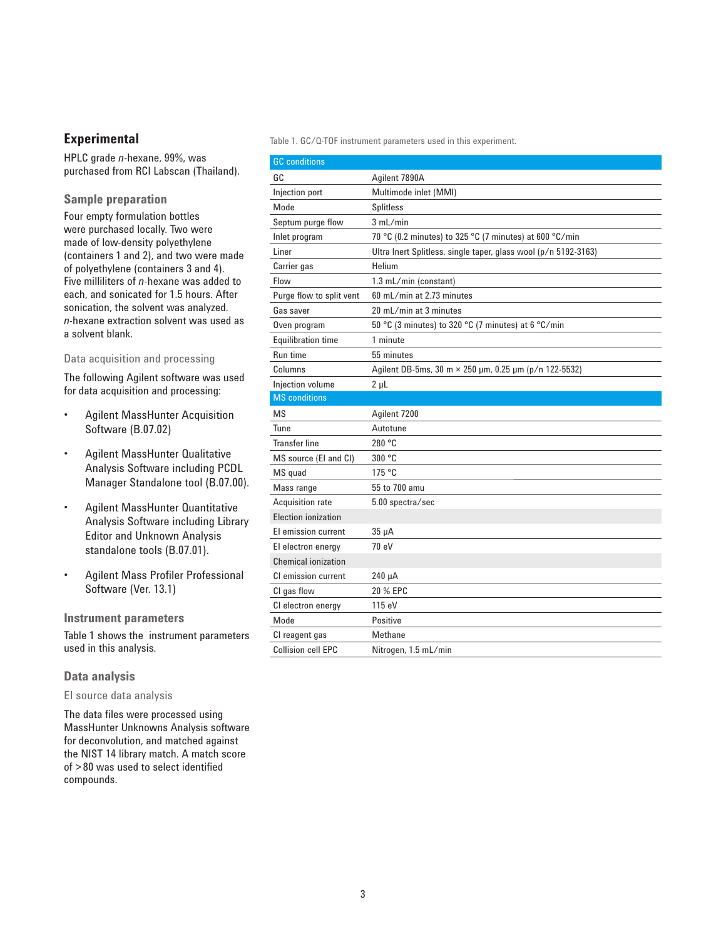## **Experimental**

HPLC grade *n-*hexane, 99%, was purchased from RCI Labscan (Thailand).

## **Sample preparation**

Four empty formulation bottles were purchased locally. Two were made of low-density polyethylene (containers 1 and 2), and two were made of polyethylene (containers 3 and 4). Five milliliters of *n-*hexane was added to each, and sonicated for 1.5 hours. After sonication, the solvent was analyzed. *n-*hexane extraction solvent was used as a solvent blank.

#### Data acquisition and processing

The following Agilent software was used for data acquisition and processing:

- Agilent MassHunter Acquisition Software (B.07.02)
- Agilent MassHunter Qualitative Analysis Software including PCDL Manager Standalone tool (B.07.00).
- Agilent MassHunter Quantitative Analysis Software including Library Editor and Unknown Analysis standalone tools (B.07.01).
- Agilent Mass Profiler Professional Software (Ver. 13.1)

## **Instrument parameters**

Table 1 shows the instrument parameters used in this analysis.

## **Data analysis**

#### EI source data analysis

The data files were processed using MassHunter Unknowns Analysis software for deconvolution, and matched against the NIST 14 library match. A match score  $of > 80$  was used to select identified compounds.

Table 1. GC/Q-TOF instrument parameters used in this experiment.

| <b>GC</b> conditions       |                                                                 |
|----------------------------|-----------------------------------------------------------------|
| GC                         | Agilent 7890A                                                   |
| Injection port             | Multimode inlet (MMI)                                           |
| Mode                       | <b>Splitless</b>                                                |
| Septum purge flow          | 3 mL/min                                                        |
| Inlet program              | 70 °C (0.2 minutes) to 325 °C (7 minutes) at 600 °C/min         |
| Liner                      | Ultra Inert Splitless, single taper, glass wool (p/n 5192-3163) |
| Carrier gas                | Helium                                                          |
| Flow                       | 1.3 mL/min (constant)                                           |
| Purge flow to split vent   | 60 mL/min at 2.73 minutes                                       |
| Gas saver                  | 20 mL/min at 3 minutes                                          |
| Oven program               | 50 °C (3 minutes) to 320 °C (7 minutes) at 6 °C/min             |
| <b>Equilibration time</b>  | 1 minute                                                        |
| Run time                   | 55 minutes                                                      |
| Columns                    | Agilent DB-5ms, 30 m $\times$ 250 µm, 0.25 µm (p/n 122-5532)    |
| Injection volume           | $2 \mu L$                                                       |
| <b>MS</b> conditions       |                                                                 |
| <b>MS</b>                  | Agilent 7200                                                    |
| Tune                       | Autotune                                                        |
| <b>Transfer line</b>       | 280 °C                                                          |
| MS source (El and CI)      | 300 °C                                                          |
| MS quad                    | 175 °C                                                          |
| Mass range                 | 55 to 700 amu                                                   |
| Acquisition rate           | 5.00 spectra/sec                                                |
| Election ionization        |                                                                 |
| El emission current        | $35 \mu A$                                                      |
| El electron energy         | 70 eV                                                           |
| <b>Chemical ionization</b> |                                                                 |
| CI emission current        | $240 \mu A$                                                     |
| CI gas flow                | 20 % EPC                                                        |
| CI electron energy         | 115 eV                                                          |
| Mode                       | Positive                                                        |
| CI reagent gas             | Methane                                                         |
| <b>Collision cell EPC</b>  | Nitrogen, 1.5 mL/min                                            |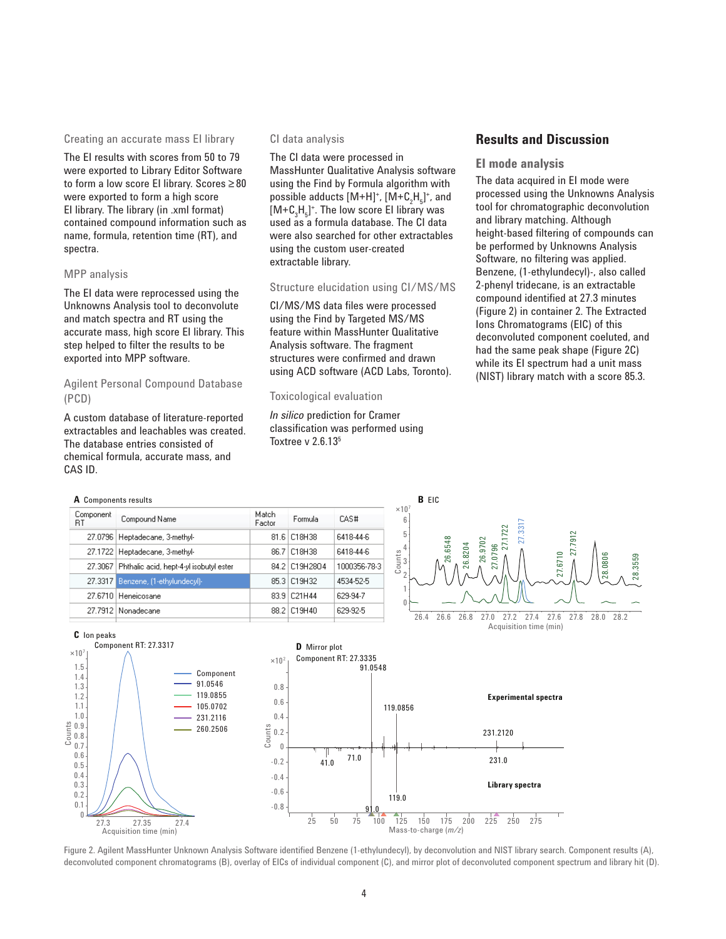#### Creating an accurate mass EI library

The EI results with scores from 50 to 79 were exported to Library Editor Software to form a low score EI library. Scores ≥ 80 were exported to form a high score EI library. The library (in .xml format) contained compound information such as name, formula, retention time (RT), and spectra.

#### MPP analysis

The EI data were reprocessed using the Unknowns Analysis tool to deconvolute and match spectra and RT using the accurate mass, high score EI library. This step helped to filter the results to be exported into MPP software.

## Agilent Personal Compound Database (PCD)

A custom database of literature-reported extractables and leachables was created. The database entries consisted of chemical formula, accurate mass, and CAS ID.

#### CI data analysis

The CI data were processed in MassHunter Qualitative Analysis software using the Find by Formula algorithm with possible adducts  $[M+H]^*$ ,  $[M+C_2H_5]^*$ , and  $[M+C_{3}H_{5}]^{*}$ . The low score EI library was used as a formula database. The CI data were also searched for other extractables using the custom user-created extractable library.

#### Structure elucidation using CI/MS/MS

CI/MS/MS data files were processed using the Find by Targeted MS/MS feature within MassHunter Qualitative Analysis software. The fragment structures were confirmed and drawn using ACD software (ACD Labs, Toronto).

#### Toxicological evaluation

*In silico* prediction for Cramer classification was performed using Toxtree  $v$  2.6.13 $5$ 

## **Results and Discussion**

#### **EI mode analysis**

The data acquired in EI mode were processed using the Unknowns Analysis tool for chromatographic deconvolution and library matching. Although height-based filtering of compounds can be performed by Unknowns Analysis Software, no filtering was applied. Benzene, (1-ethylundecyl)-, also called 2-phenyl tridecane, is an extractable compound identified at 27.3 minutes (Figure 2) in container 2. The Extracted Ions Chromatograms (EIC) of this deconvoluted component coeluted, and had the same peak shape (Figure 2C) while its EI spectrum had a unit mass (NIST) library match with a score 85.3.

| A Components results |                                         |                   |             | <b>B</b> EIC |                               |  |
|----------------------|-----------------------------------------|-------------------|-------------|--------------|-------------------------------|--|
| Component<br>ВT      | Compound Name                           | Match.<br>Factor  | Formula     | CAS#         | $\times$ 10 <sup>7</sup><br>6 |  |
|                      | 27.0796   Heptadecane, 3-methyl-        | 81.61             | C18H38      | 6418-44-6    | 5                             |  |
|                      | 27.1722   Heptadecane, 3-methyl-        | 86.71             | C18H38      | 6418-44-6    |                               |  |
| 27.3067              | Phthalic acid, hept-4-yl isobutyl ester | 84.2              | C19H28O4    | 1000356-78-3 | Counts<br>3                   |  |
|                      | 27.3317 Benzene, [1-ethylundecyl]-      |                   | 85.3 C19H32 | 4534-52-5    |                               |  |
|                      | 27.6710 Heneicosane                     | 83.9 <sup>1</sup> | C21H44      | 629-94-7     |                               |  |
| 27.7912              | Nonadecane                              | 88.2              | C19H40      | 629-92-5     |                               |  |
|                      |                                         |                   |             |              |                               |  |





Figure 2. Agilent MassHunter Unknown Analysis Software identified Benzene (1-ethylundecyl), by deconvolution and NIST library search. Component results (A), deconvoluted component chromatograms (B), overlay of EICs of individual component (C), and mirror plot of deconvoluted component spectrum and library hit (D).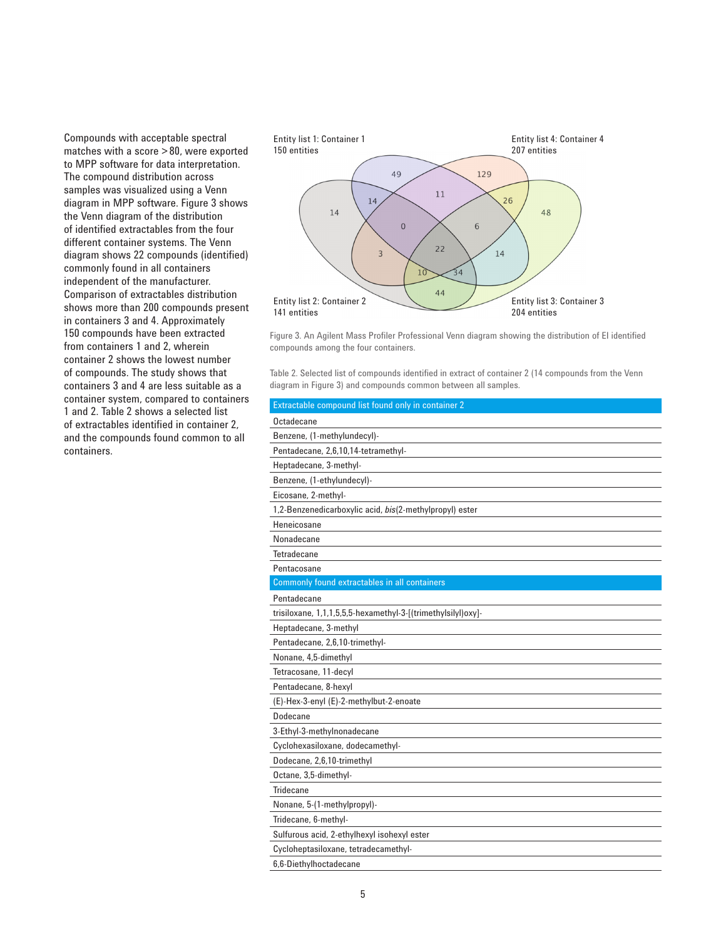Compounds with acceptable spectral matches with a score > 80, were exported to MPP software for data interpretation. The compound distribution across samples was visualized using a Venn diagram in MPP software. Figure 3 shows the Venn diagram of the distribution of identified extractables from the four different container systems. The Venn diagram shows 22 compounds (identified) commonly found in all containers independent of the manufacturer. Comparison of extractables distribution shows more than 200 compounds present in containers 3 and 4. Approximately 150 compounds have been extracted from containers 1 and 2, wherein container 2 shows the lowest number of compounds. The study shows that containers 3 and 4 are less suitable as a container system, compared to containers 1 and 2. Table 2 shows a selected list of extractables identified in container 2, and the compounds found common to all containers.



Figure 3. An Agilent Mass Profiler Professional Venn diagram showing the distribution of EI identified compounds among the four containers.

Table 2. Selected list of compounds identified in extract of container 2 (14 compounds from the Venn diagram in Figure 3) and compounds common between all samples.

| Extractable compound list found only in container 2          |
|--------------------------------------------------------------|
| Octadecane                                                   |
| Benzene, (1-methylundecyl)-                                  |
| Pentadecane, 2,6,10,14-tetramethyl-                          |
| Heptadecane, 3-methyl-                                       |
| Benzene, (1-ethylundecyl)-                                   |
| Eicosane, 2-methyl-                                          |
| 1,2-Benzenedicarboxylic acid, bis(2-methylpropyl) ester      |
| Heneicosane                                                  |
| Nonadecane                                                   |
| <b>Tetradecane</b>                                           |
| Pentacosane                                                  |
| <b>Commonly found extractables in all containers</b>         |
| Pentadecane                                                  |
| trisiloxane, 1,1,1,5,5,5-hexamethyl-3-[(trimethylsilyl)oxy]- |
| Heptadecane, 3-methyl                                        |
| Pentadecane, 2,6,10-trimethyl-                               |
| Nonane, 4,5-dimethyl                                         |
| Tetracosane, 11-decyl                                        |
| Pentadecane, 8-hexyl                                         |
| (E)-Hex-3-enyl (E)-2-methylbut-2-enoate                      |
| Dodecane                                                     |
| 3-Ethyl-3-methylnonadecane                                   |
| Cyclohexasiloxane, dodecamethyl-                             |
| Dodecane, 2,6,10-trimethyl                                   |
| Octane, 3,5-dimethyl-                                        |
| <b>Tridecane</b>                                             |
| Nonane, 5-(1-methylpropyl)-                                  |
| Tridecane, 6-methyl-                                         |
| Sulfurous acid, 2-ethylhexyl isohexyl ester                  |
| Cycloheptasiloxane, tetradecamethyl-                         |
| 6,6-Diethylhoctadecane                                       |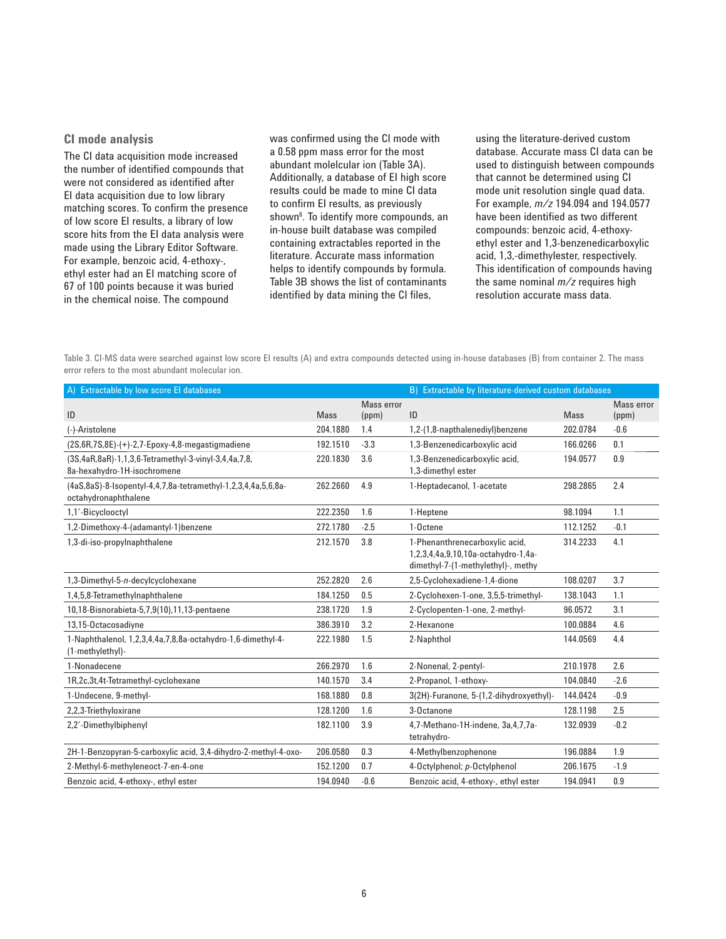## **CI mode analysis**

The CI data acquisition mode increased the number of identified compounds that were not considered as identified after EI data acquisition due to low library matching scores. To confirm the presence of low score EI results, a library of low score hits from the EI data analysis were made using the Library Editor Software. For example, benzoic acid, 4-ethoxy-, ethyl ester had an EI matching score of 67 of 100 points because it was buried in the chemical noise. The compound

was confirmed using the CI mode with a 0.58 ppm mass error for the most abundant molelcular ion (Table 3A). Additionally, a database of EI high score results could be made to mine CI data to confirm EI results, as previously shown<sup>6</sup>. To identify more compounds, an in-house built database was compiled containing extractables reported in the literature. Accurate mass information helps to identify compounds by formula. Table 3B shows the list of contaminants identified by data mining the CI files,

using the literature-derived custom database. Accurate mass CI data can be used to distinguish between compounds that cannot be determined using CI mode unit resolution single quad data. For example, *m/z* 194.094 and 194.0577 have been identified as two different compounds: benzoic acid, 4-ethoxyethyl ester and 1,3-benzenedicarboxylic acid, 1,3,-dimethylester, respectively. This identification of compounds having the same nominal *m/z* requires high resolution accurate mass data.

Table 3. CI-MS data were searched against low score EI results (A) and extra compounds detected using in-house databases (B) from container 2. The mass error refers to the most abundant molecular ion.

| A) Extractable by low score El databases                                              |             |                     | B) Extractable by literature-derived custom databases                                                       |             |                     |
|---------------------------------------------------------------------------------------|-------------|---------------------|-------------------------------------------------------------------------------------------------------------|-------------|---------------------|
| ID                                                                                    | <b>Mass</b> | Mass error<br>(ppm) | ID                                                                                                          | <b>Mass</b> | Mass error<br>(ppm) |
| (-)-Aristolene                                                                        | 204.1880    | 1.4                 | 1,2-(1,8-napthalenediyl)benzene                                                                             | 202.0784    | $-0.6$              |
| $(2S, 6R, 7S, 8E)$ - $(+)$ -2,7-Epoxy-4,8-megastigmadiene                             | 192.1510    | $-3.3$              | 1,3-Benzenedicarboxylic acid                                                                                | 166.0266    | 0.1                 |
| (3S,4aR,8aR)-1,1,3,6-Tetramethyl-3-vinyl-3,4,4a,7,8,<br>8a-hexahydro-1H-isochromene   | 220.1830    | 3.6                 | 1,3-Benzenedicarboxylic acid,<br>1,3-dimethyl ester                                                         | 194.0577    | 0.9                 |
| (4aS,8aS)-8-Isopentyl-4,4,7,8a-tetramethyl-1,2,3,4,4a,5,6,8a-<br>octahydronaphthalene | 262.2660    | 4.9                 | 1-Heptadecanol, 1-acetate                                                                                   | 298.2865    | 2.4                 |
| 1,1'-Bicyclooctyl                                                                     | 222.2350    | 1.6                 | 1-Heptene                                                                                                   | 98.1094     | 1.1                 |
| 1,2-Dimethoxy-4-(adamantyl-1)benzene                                                  | 272.1780    | $-2.5$              | 1-Octene                                                                                                    | 112.1252    | $-0.1$              |
| 1,3-di-iso-propylnaphthalene                                                          | 212.1570    | 3.8                 | 1-Phenanthrenecarboxylic acid,<br>1,2,3,4,4a,9,10,10a-octahydro-1,4a-<br>dimethyl-7-(1-methylethyl)-, methy | 314.2233    | 4.1                 |
| 1,3-Dimethyl-5-n-decylcyclohexane                                                     | 252.2820    | 2.6                 | 2,5-Cyclohexadiene-1,4-dione                                                                                | 108.0207    | 3.7                 |
| 1,4,5,8-Tetramethylnaphthalene                                                        | 184.1250    | 0.5                 | 2-Cyclohexen-1-one, 3,5,5-trimethyl-                                                                        | 138.1043    | 1.1                 |
| 10,18-Bisnorabieta-5,7,9(10),11,13-pentaene                                           | 238.1720    | 1.9                 | 2-Cyclopenten-1-one, 2-methyl-                                                                              | 96.0572     | 3.1                 |
| 13,15-Octacosadiyne                                                                   | 386.3910    | 3.2                 | 2-Hexanone                                                                                                  | 100.0884    | 4.6                 |
| 1-Naphthalenol, 1,2,3,4,4a,7,8,8a-octahydro-1,6-dimethyl-4-<br>(1-methylethyl)-       | 222.1980    | 1.5                 | 2-Naphthol                                                                                                  | 144.0569    | 4.4                 |
| 1-Nonadecene                                                                          | 266.2970    | 1.6                 | 2-Nonenal, 2-pentyl-                                                                                        | 210.1978    | 2.6                 |
| 1R,2c,3t,4t-Tetramethyl-cyclohexane                                                   | 140.1570    | 3.4                 | 2-Propanol, 1-ethoxy-                                                                                       | 104.0840    | $-2.6$              |
| 1-Undecene, 9-methyl-                                                                 | 168.1880    | 0.8                 | 3(2H)-Furanone, 5-(1,2-dihydroxyethyl)-                                                                     | 144.0424    | $-0.9$              |
| 2,2,3-Triethyloxirane                                                                 | 128.1200    | 1.6                 | 3-Octanone                                                                                                  | 128.1198    | 2.5                 |
| 2,2'-Dimethylbiphenyl                                                                 | 182.1100    | 3.9                 | 4,7-Methano-1H-indene, 3a, 4, 7, 7a-<br>tetrahydro-                                                         | 132.0939    | $-0.2$              |
| 2H-1-Benzopyran-5-carboxylic acid, 3,4-dihydro-2-methyl-4-oxo-                        | 206.0580    | 0.3                 | 4-Methylbenzophenone                                                                                        | 196.0884    | 1.9                 |
| 2-Methyl-6-methyleneoct-7-en-4-one                                                    | 152.1200    | 0.7                 | 4-Octylphenol; p-Octylphenol                                                                                | 206.1675    | $-1.9$              |
| Benzoic acid, 4-ethoxy-, ethyl ester                                                  | 194.0940    | $-0.6$              | Benzoic acid, 4-ethoxy-, ethyl ester                                                                        | 194.0941    | 0.9                 |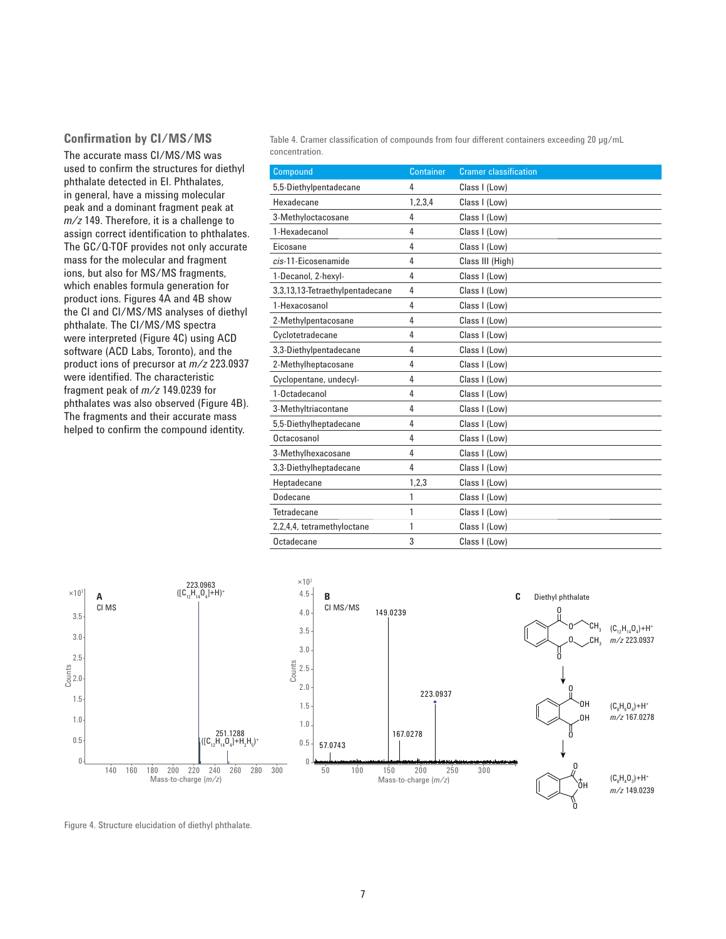#### **Confirmation by CI/MS/MS**

The accurate mass CI/MS/MS was used to confirm the structures for diethyl phthalate detected in EI. Phthalates, in general, have a missing molecular peak and a dominant fragment peak at *m/z* 149. Therefore, it is a challenge to assign correct identification to phthalates. The GC/Q-TOF provides not only accurate mass for the molecular and fragment ions, but also for MS/MS fragments, which enables formula generation for product ions. Figures 4A and 4B show the CI and CI/MS/MS analyses of diethyl phthalate. The CI/MS/MS spectra were interpreted (Figure 4C) using ACD software (ACD Labs, Toronto), and the product ions of precursor at *m/z* 223.0937 were identified. The characteristic fragment peak of *m/z* 149.0239 for phthalates was also observed (Figure 4B). The fragments and their accurate mass helped to confirm the compound identity.

Table 4. Cramer classification of compounds from four different containers exceeding 20 µg/mL concentration.

| Compound                        | <b>Container</b> | <b>Cramer classification</b> |
|---------------------------------|------------------|------------------------------|
| 5,5-Diethylpentadecane          | 4                | Class I (Low)                |
| Hexadecane                      | 1.2.3.4          | Class I (Low)                |
| 3-Methyloctacosane              | 4                | Class I (Low)                |
| 1-Hexadecanol                   | 4                | Class I (Low)                |
| Eicosane                        | 4                | Class I (Low)                |
| cis-11-Eicosenamide             | 4                | Class III (High)             |
| 1-Decanol, 2-hexyl-             | 4                | Class I (Low)                |
| 3,3,13,13-Tetraethylpentadecane | 4                | Class I (Low)                |
| 1-Hexacosanol                   | 4                | Class I (Low)                |
| 2-Methylpentacosane             | 4                | Class I (Low)                |
| Cyclotetradecane                | 4                | Class I (Low)                |
| 3,3-Diethylpentadecane          | 4                | Class I (Low)                |
| 2-Methylheptacosane             | 4                | Class I (Low)                |
| Cyclopentane, undecyl-          | 4                | Class I (Low)                |
| 1-Octadecanol                   | 4                | Class I (Low)                |
| 3-Methyltriacontane             | 4                | Class I (Low)                |
| 5,5-Diethylheptadecane          | 4                | Class I (Low)                |
| Octacosanol                     | 4                | Class I (Low)                |
| 3-Methylhexacosane              | 4                | Class I (Low)                |
| 3,3-Diethylheptadecane          | 4                | Class I (Low)                |
| Heptadecane                     | 1,2,3            | Class I (Low)                |
| Dodecane                        | 1                | Class I (Low)                |
| <b>Tetradecane</b>              | 1                | Class I (Low)                |
| 2,2,4,4, tetramethyloctane      | 1                | Class I (Low)                |
| Octadecane                      | 3                | Class I (Low)                |



Figure 4. Structure elucidation of diethyl phthalate.